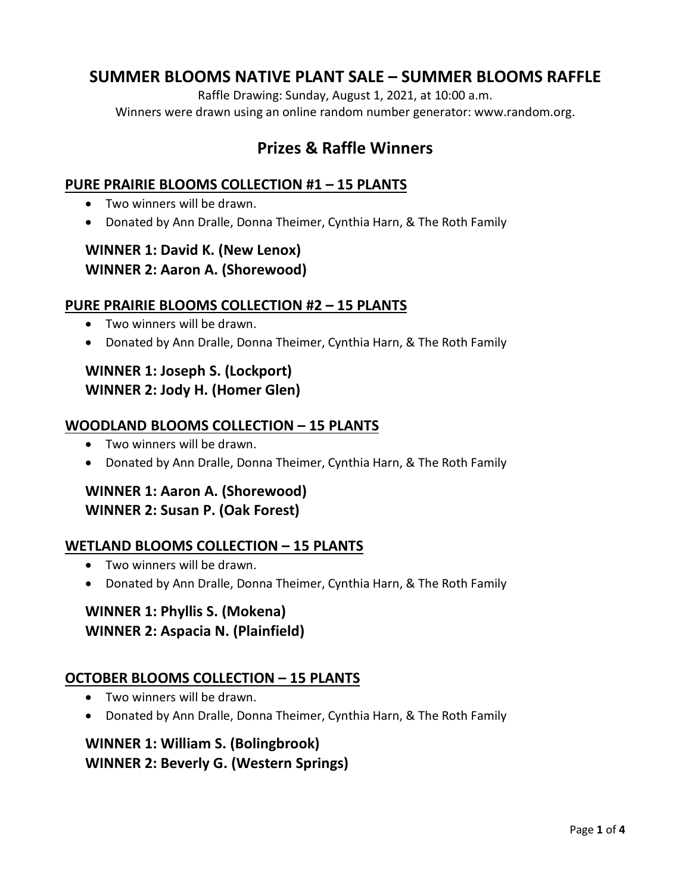# **SUMMER BLOOMS NATIVE PLANT SALE – SUMMER BLOOMS RAFFLE**

Raffle Drawing: Sunday, August 1, 2021, at 10:00 a.m. Winners were drawn using an online random number generator: www.random.org.

# **Prizes & Raffle Winners**

#### **PURE PRAIRIE BLOOMS COLLECTION #1 – 15 PLANTS**

- Two winners will be drawn.
- Donated by Ann Dralle, Donna Theimer, Cynthia Harn, & The Roth Family

## **WINNER 1: David K. (New Lenox) WINNER 2: Aaron A. (Shorewood)**

#### **PURE PRAIRIE BLOOMS COLLECTION #2 – 15 PLANTS**

- Two winners will be drawn.
- Donated by Ann Dralle, Donna Theimer, Cynthia Harn, & The Roth Family

## **WINNER 1: Joseph S. (Lockport) WINNER 2: Jody H. (Homer Glen)**

#### **WOODLAND BLOOMS COLLECTION – 15 PLANTS**

- Two winners will be drawn.
- Donated by Ann Dralle, Donna Theimer, Cynthia Harn, & The Roth Family

## **WINNER 1: Aaron A. (Shorewood) WINNER 2: Susan P. (Oak Forest)**

#### **WETLAND BLOOMS COLLECTION – 15 PLANTS**

- Two winners will be drawn.
- Donated by Ann Dralle, Donna Theimer, Cynthia Harn, & The Roth Family

## **WINNER 1: Phyllis S. (Mokena) WINNER 2: Aspacia N. (Plainfield)**

#### **OCTOBER BLOOMS COLLECTION – 15 PLANTS**

- Two winners will be drawn.
- Donated by Ann Dralle, Donna Theimer, Cynthia Harn, & The Roth Family

## **WINNER 1: William S. (Bolingbrook) WINNER 2: Beverly G. (Western Springs)**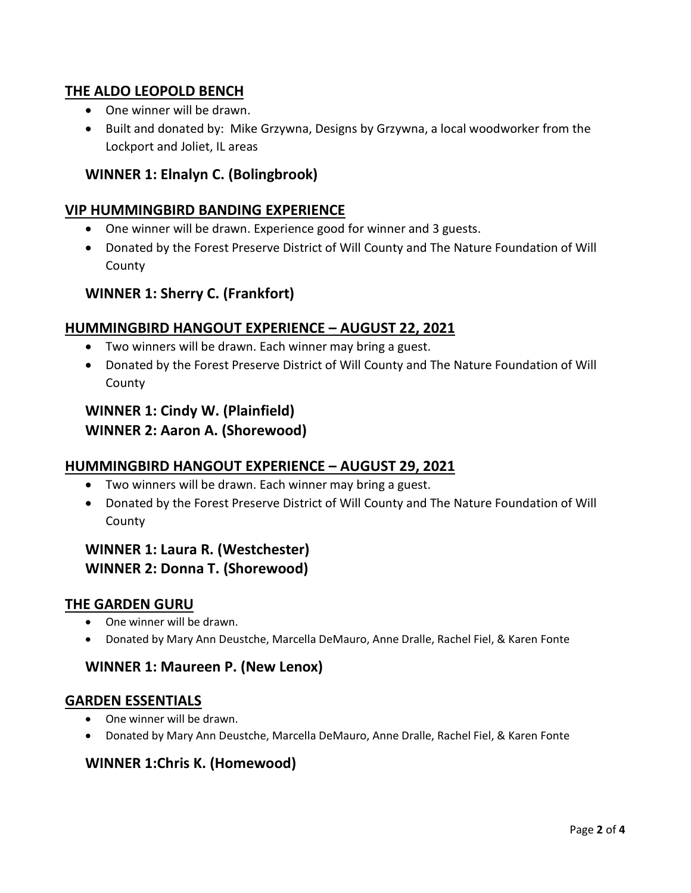### **THE ALDO LEOPOLD BENCH**

- One winner will be drawn.
- Built and donated by: Mike Grzywna, Designs by Grzywna, a local woodworker from the Lockport and Joliet, IL areas

### **WINNER 1: Elnalyn C. (Bolingbrook)**

#### **VIP HUMMINGBIRD BANDING EXPERIENCE**

- One winner will be drawn. Experience good for winner and 3 guests.
- Donated by the Forest Preserve District of Will County and The Nature Foundation of Will County

#### **WINNER 1: Sherry C. (Frankfort)**

#### **HUMMINGBIRD HANGOUT EXPERIENCE – AUGUST 22, 2021**

- Two winners will be drawn. Each winner may bring a guest.
- Donated by the Forest Preserve District of Will County and The Nature Foundation of Will County

## **WINNER 1: Cindy W. (Plainfield) WINNER 2: Aaron A. (Shorewood)**

#### **HUMMINGBIRD HANGOUT EXPERIENCE – AUGUST 29, 2021**

- Two winners will be drawn. Each winner may bring a guest.
- Donated by the Forest Preserve District of Will County and The Nature Foundation of Will County

## **WINNER 1: Laura R. (Westchester) WINNER 2: Donna T. (Shorewood)**

#### **THE GARDEN GURU**

- One winner will be drawn.
- Donated by Mary Ann Deustche, Marcella DeMauro, Anne Dralle, Rachel Fiel, & Karen Fonte

#### **WINNER 1: Maureen P. (New Lenox)**

#### **GARDEN ESSENTIALS**

- One winner will be drawn.
- Donated by Mary Ann Deustche, Marcella DeMauro, Anne Dralle, Rachel Fiel, & Karen Fonte

#### **WINNER 1:Chris K. (Homewood)**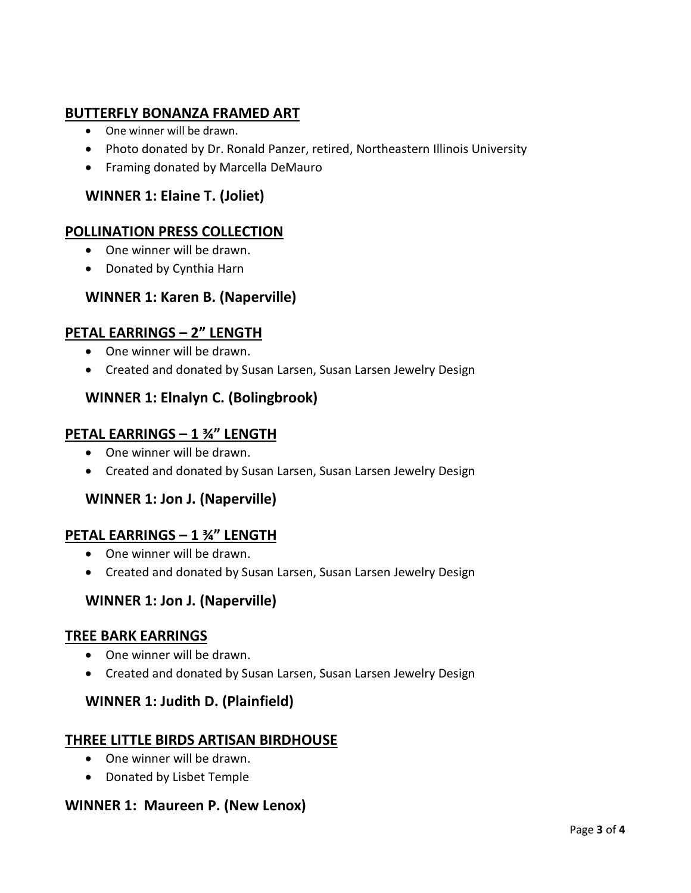## **BUTTERFLY BONANZA FRAMED ART**

- One winner will be drawn.
- Photo donated by Dr. Ronald Panzer, retired, Northeastern Illinois University
- Framing donated by Marcella DeMauro

## **WINNER 1: Elaine T. (Joliet)**

### **POLLINATION PRESS COLLECTION**

- One winner will be drawn.
- Donated by Cynthia Harn

#### **WINNER 1: Karen B. (Naperville)**

#### **PETAL EARRINGS – 2" LENGTH**

- One winner will be drawn.
- Created and donated by Susan Larsen, Susan Larsen Jewelry Design

#### **WINNER 1: Elnalyn C. (Bolingbrook)**

#### **PETAL EARRINGS – 1 ¾" LENGTH**

- One winner will be drawn.
- Created and donated by Susan Larsen, Susan Larsen Jewelry Design

#### **WINNER 1: Jon J. (Naperville)**

#### **PETAL EARRINGS – 1 ¾" LENGTH**

- One winner will be drawn.
- Created and donated by Susan Larsen, Susan Larsen Jewelry Design

#### **WINNER 1: Jon J. (Naperville)**

#### **TREE BARK EARRINGS**

- One winner will be drawn.
- Created and donated by Susan Larsen, Susan Larsen Jewelry Design

#### **WINNER 1: Judith D. (Plainfield)**

#### **THREE LITTLE BIRDS ARTISAN BIRDHOUSE**

- One winner will be drawn.
- Donated by Lisbet Temple

#### **WINNER 1: Maureen P. (New Lenox)**